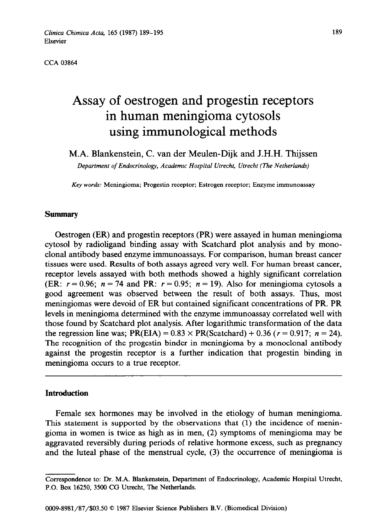CCA 03864

# Assay of oestrogen and progestin receptors in human meningioma cytosols using immunological methods

M.A. Blankenstein, **C. van** der Meulen-Dijk and J.H.H. Thijssen

*Department of Endocrinology, Academic Hospital Utrecht, Utrecht (The NetherIan&)* 

Key words: Meningioma; Progestin receptor; Estrogen receptor; Enzyme immunoassay

#### Summary

Oestrogen (ER) and progestin receptors (PR) were assayed in human meningioma cytosol by radioligand binding assay with Scatchard plot analysis and by monoclonal antibody based enzyme immunoassays. For comparison, human breast cancer tissues were used. Results of both assays agreed very well. For human breast cancer, receptor levels assayed with both methods showed a highly significant correlation (ER:  $r = 0.96$ ;  $n = 74$  and PR:  $r = 0.95$ ;  $n = 19$ ). Also for meningioma cytosols a good agreement was observed between the result of both assays. Thus, most meningiomas were devoid of ER but contained significant concentrations of PR. PR levels in meningioma determined with the enzyme immunoassay correlated well with those found by Scatchard plot analysis. After logarithmic transformation of the data the regression line was;  $PR(EIA) = 0.83 \times PR(Scatchard) + 0.36$  ( $r = 0.917$ ;  $n = 24$ ). The recognition of the progestin binder in meningioma by a monoclonal antibody against the progestin receptor is a further indication that progestin binding in meningioma occurs to a true receptor.

# **Introduction**

Female sex hormones may be involved in the etiology of human meningioma. This statement is supported by the observations that (1) the incidence of meningioma in women is twice as high as in men, (2) symptoms of meningioma may be aggravated reversibly during periods of relative hormone excess, such as pregnancy and the luteal phase of the menstrual cycle, (3) the occurrence of meningioma is

Correspondence to: Dr. M.A. Blankenstein, Department of Endocrinology, Academic Hospital Utrecht, P.O. Box 16250, 3500 CG Utrecht, The Netherlands.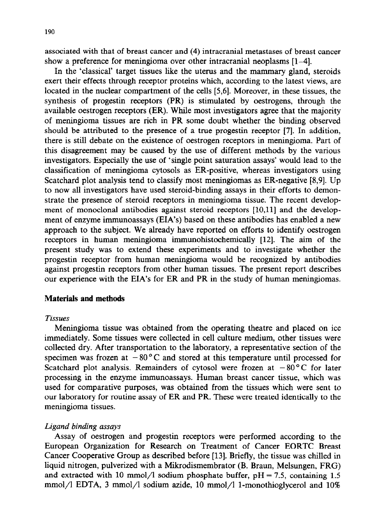associated with that of breast cancer and (4) intracranial metastases of breast cancer show a preference for meningioma over other intracranial neoplasms [1-4].

In the 'classical' target tissues like the uterus and the mammary gland, steroids exert their effects through receptor proteins which, according to the latest views, are located in the nuclear compartment of the cells [5,6]. Moreover, in these tissues, the synthesis of progestin receptors (PR) is stimulated by oestrogens, through the available oestrogen receptors (ER). While most investigators agree that the majority of meningioma tissues are rich in PR some doubt whether the binding observed should be attributed to the presence of a true progestin receptor [7]. In addition, there is still debate on the existence of oestrogen receptors in meningioma. Part of this disagreement may be caused by the use of different methods by the various investigators. Especially the use of 'single point saturation assays' would lead to the classification of meningioma cytosols as ER-positive, whereas investigators using Scatchard plot analysis tend to classify most meningiomas as ER-negative [8,9]. Up to now all investigators have used steroid-binding assays in their efforts to demonstrate the presence of steroid receptors in meningioma tissue. The recent development of monoclonal antibodies against steroid receptors [10,11] and the development of enzyme immunoassays (EIA's) based on these antibodies has enabled a new approach to the subject. We already have reported on efforts to identify oestrogen receptors in human meningioma immunohistochemically [12]. The aim of the present study was to extend these experiments and to investigate whether the progestin receptor from human meningioma would be recognized by antibodies against progestin receptors from other human tissues. The present report describes our experience with the EIA's for ER and PR in the study of human meningiomas.

## **Materials and methods**

#### *Tissues*

Meningioma tissue was obtained from the operating theatre and placed on ice immediately. Some tissues were collected in cell culture medium, other tissues were collected dry. After transportation to the laboratory, a representative section of the specimen was frozen at  $-80^{\circ}$ C and stored at this temperature until processed for Scatchard plot analysis. Remainders of cytosol were frozen at  $-80^{\circ}$ C for later processing in the enzyme immunoassays. Human breast cancer tissue, which was used for comparative purposes, was obtained from the tissues which were sent to our laboratory for routine assay of ER and PR. These were treated identically to the meningioma tissues.

## *Ligand binding assays*

Assay of oestrogen and progestin receptors were performed according to the European Organization for Research on Treatment of Cancer EORTC Breast Cancer Cooperative Group as described before [13]. Briefly, the tissue was chilled in liquid nitrogen, pulverized with a Mikrodismembrator (B. Braun, Melsungen, FRG) and extracted with 10 mmol/l sodium phosphate buffer,  $pH = 7.5$ , containing 1.5 mmol/l EDTA, 3 mmol/l sodium azide, 10 mmol/l 1-monothioglycerol and 10%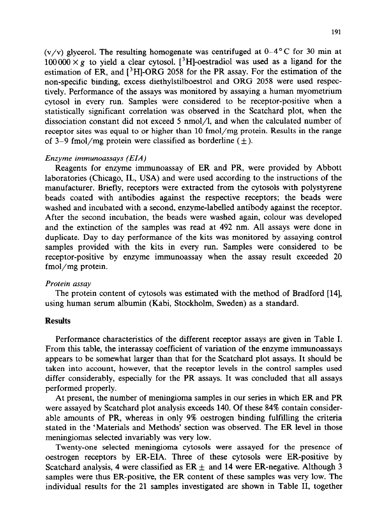(v/v) glycerol. The resulting homogenate was centrifuged at  $0-4^{\circ}$ C for 30 min at  $100000 \times g$  to yield a clear cytosol. <sup>3</sup>H-oestradiol was used as a ligand for the estimation of ER, and  $[3H]$ -ORG 2058 for the PR assay. For the estimation of the non-specific binding, excess diethylstilboestrol and ORG 2058 were used respectively. Performance of the assays was monitored by assaying a human myometrium cytosol in every run. Samples were considered to be receptor-positive when a statistically significant correlation was observed in the Scatchard plot, when the dissociation constant did not exceed 5 nmol/l, and when the calculated number of receptor sites was equal to or higher than 10 fmol/mg protein. Results in the range of 3–9 fmol/mg protein were classified as borderline  $(\pm)$ .

## *Enzyme immunoassays (EIA)*

Reagents for enzyme immunoassay of ER and PR, were provided by Abbott laboratories (Chicago, IL, USA) and were used according to the instructions of the manufacturer. Briefly, receptors were extracted from the cytosols with polystyrene beads coated with antibodies against the respective receptors; the beads were washed and incubated with a second, enzyme-labelled antibody against the receptor. After the second incubation, the beads were washed again, colour was developed and the extinction of the samples was read at 492 nm. All assays were done in duplicate. Day to day performance of the kits was monitored by assaying control samples provided with the kits in every run. Samples were considered to be receptor-positive by enzyme immunoassay when the assay result exceeded 20 fmol/mg protein.

# *Protein assay*

The protein content of cytosols was estimated with the method of Bradford [14], using human serum albumin (Kabi, Stockholm, Sweden) as a standard.

# **Results**

Performance characteristics of the different receptor assays are given in Table I. From this table, the interassay coefficient of variation of the enzyme immunoassays appears to be somewhat larger than that for the Scatchard plot assays. It should be taken into account, however, that the receptor levels in the control samples used differ considerably, especially for the PR assays. It was concluded that all assays performed properly.

At present, the number of meningioma samples in our series in which ER and PR were assayed by Scatchard plot analysis exceeds 140. Of these 84% contain considerable amounts of PR, whereas in only 9% oestrogen binding fulfilling the criteria stated in the 'Materials and Methods' section was observed. The ER level in those meningiomas selected invariably was very low.

Twenty-one selected meningioma cytosols were assayed for the presence of oestrogen receptors by ER-EIA. Three of these cytosols were ER-positive by Scatchard analysis, 4 were classified as  $ER \pm$  and 14 were ER-negative. Although 3 samples were thus ER-positive, the ER content of these samples was very low. The individual results for the 21 samples investigated are shown in Table II, together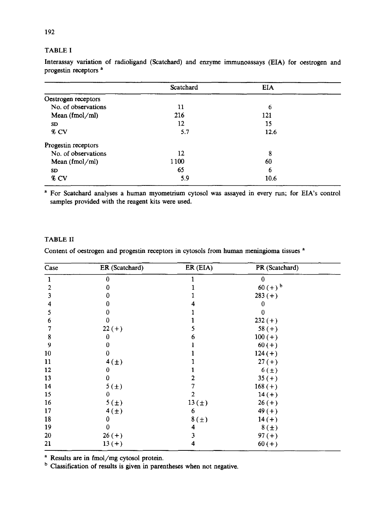#### TABLE I

|                     | Scatchard | <b>EIA</b> |  |
|---------------------|-----------|------------|--|
| Oestrogen receptors |           |            |  |
| No. of observations | 11        | 6          |  |
| Mean (fmol/ml)      | 216       | 121        |  |
| <b>SD</b>           | 12        | 15         |  |
| % CV                | 5.7       | 12.6       |  |
| Progestin receptors |           |            |  |
| No. of observations | 12        | 8          |  |
| Mean $(fmol/ml)$    | 1100      | 60         |  |
| SD                  | 65        | 6          |  |
| % CV                | 5.9       | 10.6       |  |

Interassay variation of radioligand (Scatchard) and enzyme immunoassays (EIA) for oestrogen and progestin receptors<sup>a</sup>

a For Scatchard analyses a human myometrium cytosol was assayed in every run; for EIA's control samples provided with the reagent kits were used.

## TABLE II

Content of oestrogen and progestin receptors in cytosols from human meningioma tissues <sup>a</sup>

| Case | ER (Scatchard)   | ER (EIA) | PR (Scatchard) |  |
|------|------------------|----------|----------------|--|
| 1    | 0                |          | 0              |  |
| 2    | 0                |          | $60 (+)^{b}$   |  |
| 3    | 0                |          | $283 (+)$      |  |
| 4    | 0                |          | 0              |  |
| 5    | 0                |          | 0              |  |
| 6    | 0                |          | $232 (+)$      |  |
|      | $22 (+)$         |          | $58(+)$        |  |
| 8    | 0                | 6        | $100 (+)$      |  |
| 9    | 0                |          | $60 (+)$       |  |
| 10   | 0                |          | $124 (+)$      |  |
| 11   | $4(\pm)$         |          | $27 (+)$       |  |
| 12   | 0                |          | $6(\pm)$       |  |
| 13   | 0                |          | $35(+)$        |  |
| 14   | 5 <sub>(±)</sub> |          | $168 (+)$      |  |
| 15   | 0                | 2        | $14(+)$        |  |
| 16   | 5 <sup>(±)</sup> | 13(t)    | $26(+)$        |  |
| 17   | $4(\pm)$         | 6        | $49 (+)$       |  |
| 18   | U                | 8(±)     | $14 (+)$       |  |
| 19   | 0                | 4        | $8(\pm)$       |  |
| 20   | $26 (+)$         | 3        | $97 (+)$       |  |
| 21   | $13(+)$          | 4        | $60 (+)$       |  |

a Results are in fmol/mg cytosol protein.

<sup>b</sup> Classification of results is given in parentheses when not negative.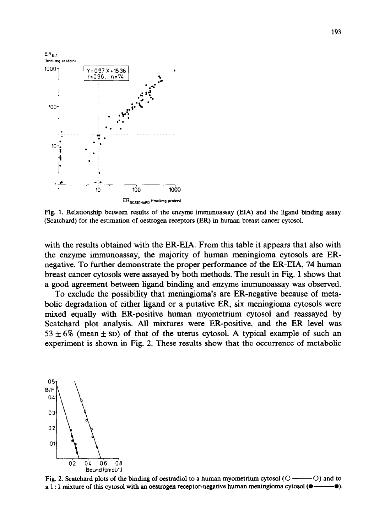

Fig. 1. Relationship between results of the enzyme immunoassay (EIA) and the ligand binding assay (Scatchard) for the estimation of oestrogen receptors (ER) in human breast cancer cytosol.

with the results obtained with the ER-EIA. From this table it appears that also with the enzyme immunoassay, the majority of human meningioma cytosols are ERnegative. To further demonstrate the proper performance of the ER-EIA, 74 human breast cancer cytosols were assayed by both methods. The result in Fig. 1 shows that a good agreement between ligand binding and enzyme immunoassay was observed.

To exclude the possibility that meningioma's are ER-negative because of metabolic degradation of either ligand or a putative ER, six meningioma cytosols were mixed equally with ER-positive human myometrium cytosol and reassayed by Scatchard plot analysis. All mixtures were ER-positive, and the ER level was 53  $\pm$  6% (mean  $\pm$  sp) of that of the uterus cytosol. A typical example of such an experiment is shown in Fig. 2. These results show that the occurrence of metabolic



Fig. 2. Scatchard plots of the binding of oestradiol to a human myometrium cytosol(0 - 0) and to a 1:1 mixture of this cytosol with an oestrogen receptor-negative human meningioma cytosol  $\left($ . — O).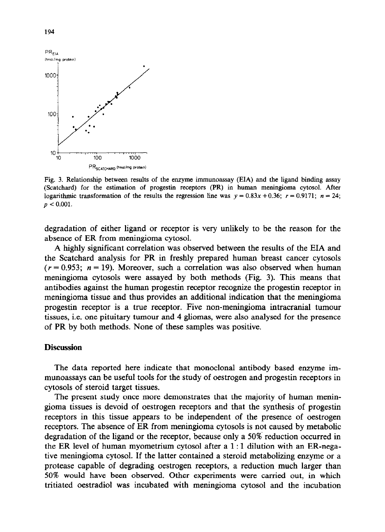

Fig. 3. Relationship between results of the enzyme immunoassay (EIA) and the ligand binding assay (Scatchard) for the estimation of progestin receptors (PR) in human meningioma cytosol. After logarithmic transformation of the results the regression line was  $y = 0.83x + 0.36$ ;  $r = 0.9171$ ;  $n = 24$ ;  $p < 0.001$ .

degradation of either ligand or receptor is very unlikely to be the reason for the absence of ER from meningioma cytosol.

A highly significant correlation was observed between the results of the EIA and the Scatchard analysis for PR in freshly prepared human breast cancer cytosols  $(r = 0.953; n = 19)$ . Moreover, such a correlation was also observed when human meningioma cytosols were assayed by both methods (Fig. 3). This means that antibodies against the human progestin receptor recognize the progestin receptor in meningioma tissue and thus provides an additional indication that the meningioma progestin receptor is a true receptor. Five non-meningioma intracranial tumour tissues, i.e. one pituitary tumour and 4 gliomas, were also analysed for the presence of PR by both methods. None of these samples was positive.

#### **Discussion**

The data reported here indicate that monoclonal antibody based enzyme immunoassays can be useful tools for the study of oestrogen and progestin receptors in cytosols of steroid target tissues.

The present study once more demonstrates that the majority of human meningioma tissues is devoid of oestrogen receptors and that the synthesis of progestin receptors in this tissue appears to be independent of the presence of oestrogen receptors. The absence of ER from meningioma cytosols is not caused by metabolic degradation of the ligand or the receptor, because only a 50% reduction occurred in the ER level of human myometrium cytosol after a 1: 1 dilution with an ER-negative meningioma cytosol. If the latter contained a steroid metabolizing enzyme or a protease capable of degrading oestrogen receptors, a reduction much larger than 50% would have been observed. Other experiments were carried out, in which tritiated oestradiol was incubated with meningioma cytosol and the incubation